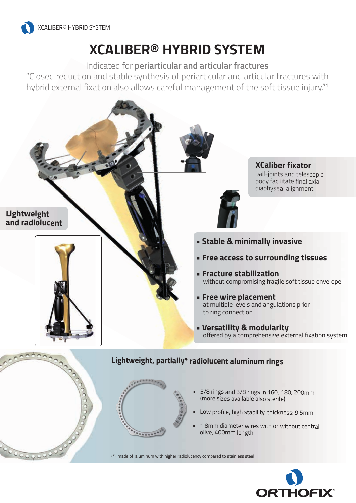

# **XCALIBER® HYBRID SYSTEM**

Indicated for **periarticular and articular fractures**

"Closed reduction and stable synthesis of periarticular and articular fractures with hybrid external fixation also allows careful management of the soft tissue injury."1



- • 5/8 rings and 3/8 rings in 160, 180, 200mm (more sizes available also sterile)
- •Low profile, high stability, thickness: 9.5mm
- • 1.8mm diameter wires with or without central olive, 400mm length

(\*): made of aluminum with higher radiolucency compared to stainless steel